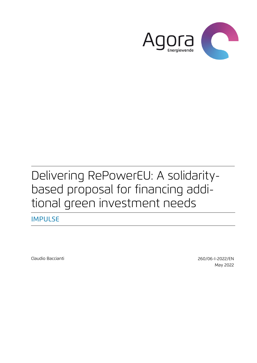

# Delivering RePowerEU: A solidaritybased proposal for financing additional green investment needs

IMPULSE

[Claudio Baccianti](mailto:claudio.baccianti@agora-energiewende.de) 260/06-I-2022/EN May 2022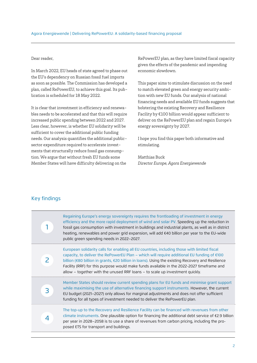#### Dear reader,

In March 2022, EU heads of state agreed to phase out the EU's dependency on Russian fossil fuel imports as soon as possible. The Commission has developed a plan, called RePowerEU, to achieve this goal. Its publication is scheduled for 18 May 2022.

It is clear that investment in efficiency and renewables needs to be accelerated and that this will require increased public spending between 2022 and 2027. Less clear, however, is whether EU solidarity will be sufficient to cover the additional public funding needs. Our analysis quantifies the additional publicsector expenditure required to accelerate investments that structurally reduce fossil gas consumption. We argue that without fresh EU funds some Member States will have difficulty delivering on the

RePowerEU plan, as they have limited fiscal capacity given the effects of the pandemic and impending economic slowdown.

This paper aims to stimulate discussion on the need to match elevated green and energy security ambition with new EU funds. Our analysis of national financing needs and available EU funds suggests that bolstering the existing Recovery and Resilience Facility by €100 billion would appear sufficient to deliver on the RePowerEU plan and regain Europe's energy sovereignty by 2027.

I hope you find this paper both informative and stimulating.

Matthias Buck  $Director Europe, Agora Energiewende$ 

## Key findings

|   | Regaining Europe's energy sovereignty requires the frontloading of investment in energy<br>efficiency and the more rapid deployment of wind and solar PV. Speeding up the reduction in<br>fossil gas consumption with investment in buildings and industrial plants, as well as in district<br>heating, renewables and power grid expansion, will add €40 billion per year to the EU-wide<br>public green spending needs in 2022–2027.                                                 |
|---|----------------------------------------------------------------------------------------------------------------------------------------------------------------------------------------------------------------------------------------------------------------------------------------------------------------------------------------------------------------------------------------------------------------------------------------------------------------------------------------|
|   | European solidarity calls for enabling all EU countries, including those with limited fiscal<br>capacity, to deliver the RePowerEU Plan – which will require additional EU funding of $\epsilon$ 100<br>billion (€80 billion in grants, €20 billion in loans). Using the existing Recovery and Resilience<br>Facility (RRF) for this purpose would make funds available in the 2022-2027 timeframe and<br>allow – together with the unused RRF loans – to scale up investment quickly. |
| 3 | Member States should review current spending plans for EU funds and minimise grant support<br>while maximising the use of alternative financing support instruments. However, the current<br>EU budget (2021-2027) only allows for marginal adjustments and does not offer sufficient<br>funding for all types of investment needed to deliver the RePowerEU plan.                                                                                                                     |
|   | The top-up to the Recovery and Resilience Facility can be financed with revenues from other<br>climate instruments. One plausible option for financing the additional debt service of $E2.9$ billion<br>per year in 2028–2058 is to use a share of revenues from carbon pricing, including the pro-<br>posed ETS for transport and buildings.                                                                                                                                          |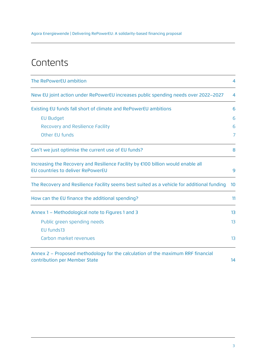Agora Energiewende | Delivering RePowerEU: A solidarity-based financing proposal

## **Contents**

| The RePowerEU ambition                                                                                                |                |  |
|-----------------------------------------------------------------------------------------------------------------------|----------------|--|
| New EU joint action under RePowerEU increases public spending needs over 2022-2027                                    | $\overline{4}$ |  |
| Existing EU funds fall short of climate and RePowerEU ambitions                                                       | 6              |  |
| <b>EU Budget</b>                                                                                                      | 6              |  |
| Recovery and Resilience Facility                                                                                      | 6              |  |
| Other EU funds                                                                                                        | 7              |  |
| Can't we just optimise the current use of EU funds?                                                                   |                |  |
| Increasing the Recovery and Resilience Facility by €100 billion would enable all<br>EU countries to deliver RePowerEU |                |  |
| The Recovery and Resilience Facility seems best suited as a vehicle for additional funding                            |                |  |
| How can the EU finance the additional spending?                                                                       |                |  |
| Annex 1 - Methodological note to Figures 1 and 3                                                                      |                |  |
| Public green spending needs                                                                                           | 13             |  |
| EU funds13                                                                                                            |                |  |
| Carbon market revenues                                                                                                | 13             |  |
|                                                                                                                       |                |  |

Annex 2 – Proposed methodology for the calculation of the maximum RRF financial contribution per Member State 14 and 2008 and 2008 and 2008 and 2008 and 2008 and 2008 and 2008 and 2008 and 20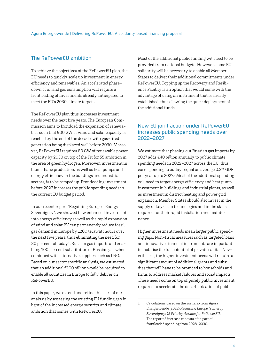## The RePowerEU ambition

To achieve the objectives of the RePowerEU plan, the EU needs to quickly scale up investment in energy efficiency and renewables. An accelerated phasedown of oil and gas consumption will require a frontloading of investments already anticipated to meet the EU's 2030 climate targets.

The RePowerEU plan thus increases investment needs over the next five years. The European Commission aims to frontload the expansion of renewables such that 900 GW of wind and solar capacity is reached by the end of the decade, with gas-fired generation being displaced well before 2030. Moreover, RePowerEU requires 80 GW of renewable power capacity by 2030 on top of the Fit for 55 ambition in the area of green hydrogen. Moreover, investment in biomethane production, as well as heat pumps and energy efficiency in the buildings and industrial sectors, is to be ramped up. Frontloading investment before 2027 increases the public spending needs in the current EU budget period.

In our recent report "Regaining Europe's Energy Sovereignty", we showed how enhanced investment into energy efficiency as well as the rapid expansion of wind and solar PV can permanently reduce fossil gas demand in Europe by 1200 terawatt hours over the next five years, thus eliminating the need for 80 per cent of today's Russian gas imports and enabling 100 per cent substitution of Russian gas when combined with alternative supplies such as LNG. Based on our sector specific analysis, we estimated that an additional €100 billion would be required to enable all countries in Europe to fully deliver on RePowerEU.

In this paper, we extend and refine this part of our analysis by assessing the existing EU funding gap in light of the increased energy security and climate ambition that comes with RePowerEU.

Most of the additional public funding will need to be provided from national budgets. However, some EU solidarity will be necessary to enable all Member States to deliver their additional commitments under RePowerEU. Topping up the Recovery and Resilience Facility is an option that would come with the advantage of using an instrument that is already established, thus allowing the quick deployment of the additional funds.

## New EU joint action under RePowerEU increases public spending needs over 2022–2027

We estimate that phasing out Russian gas imports by 2027 adds €40 billion annually to public climate spending needs in 2022–2027 across the EU, thus corresponding to outlays equal on average 0.3% GDP per year up to 2027.<sup>1</sup> Most of the additional spending will need to target energy efficiency and heat pump investment in buildings and industrial plants, as well as investment in district heating and power grid expansion. Member States should also invest in the supply of key clean technologies and in the skills required for their rapid installation and maintenance.

Higher investment needs mean larger public spending gaps. Non-fiscal measures such as targeted loans and innovative financial instruments are important to mobilise the full potential of private capital. Nevertheless, the higher investment needs will require a significant amount of additional grants and subsidies that will have to be provided to households and firms to address market failures and social impacts. These needs come on top of purely public investment required to accelerate the decarbonisation of public

<sup>1</sup> Calculations based on the scenario from Agora Energiewende (2022) *Regaining Europe's Energy Sovereignty: 15 Priority Actions for RePowerEU*. The reported increase consists of in part of frontloaded spending from 2028-2030.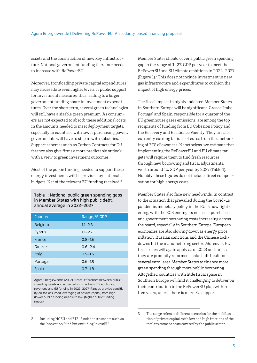assets and the construction of new key infrastructure. National government funding therefore needs to increase with RePowerEU.

Moreover, frontloading private capital expenditures may necessitate even higher levels of public support for investment measures, thus leading to a larger government funding share in investment expenditures. Over the short term, several green technologies will still have a sizable green premium. As consumers are not expected to absorb these additional costs in the amounts needed to meet deployment targets, especially in countries with lower purchasing power, governments will have to step in with subsidies. Support schemes such as Carbon Contracts for Difference also give firms a more predictable outlook with a view to green investment outcomes.

Most of the public funding needed to support these energy investments will be provided by national budgets. Net of the relevant EU funding received, $2$ 

Table 1: National public green spending gaps in Member States with high public debt, annual average in 2022–2027

| Country  | Range, % GDP |
|----------|--------------|
| Belgium  | $1.1 - 2.3$  |
| Cyprus   | $1.1 - 2.7$  |
| France   | $0.8 - 1.6$  |
| Greece   | $0.6 - 2.4$  |
| Italy    | $0.5 - 1.5$  |
| Portugal | $0.6 - 1.9$  |
| Spain    | $0.7 - 1.8$  |

Agora Energiewende (2022). Note: Differences between public spending needs and expected income from ETS auctioning revenues and EU funding in 2022–2027. Ranges provide sensitivity on the assumed leveraging of private capital, from high (lower public funding needs) to low (higher public funding needs).

2 Including NGEU and ETS-funded instruments such as the Innovation Fund but excluding InvestEU.

Member States should cover a public green spending gap in the range of 1–2% GDP per year to meet the RePowerEU and EU climate ambitions in 2022–2027 (Figure 1).3 This does not include investment in new gas infrastructure and expenditures to cushion the impact of high energy prices.

The fiscal impact in highly indebted Member States in Southern Europe will be significant. Greece, Italy, Portugal and Spain, responsible for a quarter of the EU greenhouse gases emissions, are among the top recipients of funding from EU Cohesion Policy and the Recovery and Resilience Facility. They are also currently earning billions of euros from the auctioning of ETS allowances. Nonetheless, we estimate that implementing the RePowerEU and EU climate targets will require them to find fresh resources, through new borrowing and fiscal adjustments, worth around 1% GDP per year by 2027 (Table 1). Notably, these figures do not include direct compensation for high energy costs.

Member States also face new headwinds. In contrast to the situation that prevailed during the Covid-19 pandemic, monetary policy in the EU is now tightening, with the ECB ending its net asset purchases and government borrowing costs increasing across the board, especially in Southern Europe. European economies are also slowing down as energy price inflation, Russian sanctions and the Chinese lockdowns hit the manufacturing sector. Moreover, EU fiscal rules will again apply as of 2023 and, unless they are promptly reformed, make it difficult for several euro-area Member States to finance more green spending through more public borrowing. Altogether, countries with little fiscal space in Southern Europe will find it challenging to deliver on their contribution to the RePowerEU plan within five years, unless there is more EU support.

<sup>3</sup> The range refers to different scenarios for the mobilisation of private capital, with low and high fractions of the total investment costs covered by the public sector.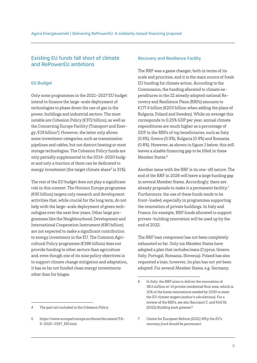## Existing EU funds fall short of climate and RePowerEU ambitions

#### EU Budget

Only some programmes in the 2021–2027 EU budget intend to finance the large-scale deployment of technologies to phase down the use of gas in the power, buildings and industrial sectors. The most notable are Cohesion Policy (€372 billion), as well as the Connecting Europe Facility (Transport and Energy, €19 billion<sup>4</sup>). However, the latter only allows some investment categories, such as transmission pipelines and cables, but not district heating or most storage technologies. The Cohesion Policy funds are only partially supplemental to the 2014–2020 budget and only a fraction of them can be dedicated to energy investment (the target climate share<sup>5</sup> is 31%).

The rest of the EU budget does not play a significant role in this context. The Horizon Europe programme (€95 billion) targets only research and development activities that, while crucial for the long term, do not help with the large-scale deployment of green technologies over the next few years. Other large programmes like the Neighbourhood, Development and International Cooperation Instrument (€80 billion) are not expected to make a significant contribution to energy investment in the EU. The Common Agricultural Policy programme (€386 billion) does not provide funding to other sectors than agriculture and, even though one of its nine policy objectives is to support climate change mitigation and adaptation, it has so far not funded clean energy investments other than for biogas.

#### Recovery and Resilience Facility

The RRF was a game changer, both in terms of its scale and priorities, and it is the main source of fresh EU funding for climate action. According to the Commission, the funding allocated to climate expenditures in the 22 already adopted national Recovery and Resilience Plans (RRPs) amounts to €177.4 billion (€203 billion when adding the plans of Bulgaria, Poland and Sweden). While on average this corresponds to 0.25% GDP per year, annual climate expenditures are much higher as a percentage of GDP in the RRPs of top beneficiaries, such as Italy (0.6%), Greece (0.9%), Bulgaria (0.9%) and Romania (0.8%). However, as shown in figure 1 below, this still leaves a sizable financing gap to be filled in these Member States.<sup>6</sup>

Another issue with the RRF is its one-off nature. The end of the RRF in 2026 will leave a large funding gap in several Member States. Accordingly, there are already proposals to make it a permanent facility.7 Furthermore, the use of these funds tends to be front-loaded, especially in programmes supporting the renovation of private buildings. In Italy and France, for example, RRP funds allocated to support private-building renovation will be used up by the end of 2022.

The RRF loan component has not been completely exhausted so far. Only six Member States have adopted a plan that includes loans (Cyprus, Greece, Italy, Portugal, Romania, Slovenia). Poland has also requested a loan; however, its plan has not yet been adopted. For several Member States, e.g. Germany,

<sup>4</sup> The part not included in the Cohesion Policy.

<sup>5</sup> https://www.europarl.europa.eu/doceo/document/TA-9-2020-0357\_EN.html

<sup>6</sup> In Italy, the RRP aims to deliver the renovation of  $38.5$  million  $m<sup>2</sup>$  of private residential floor area, which is 10% of the home renovations needed by 2030 to meet the EU climate targets (author's calculations). For a review of the RRPs, see also Baccianti C. and Holl M. (2022) *Building back greener?*

<sup>7</sup> Centre for European Reform (2021) *Why the EU's recovery fund should be permanent.*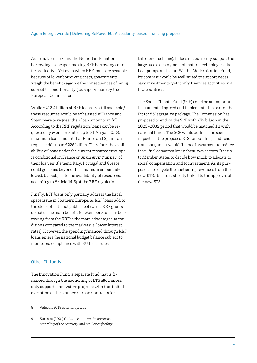Austria, Denmark and the Netherlands, national borrowing is cheaper, making RRF borrowing counterproductive. Yet even when RRF loans are sensible because of lower borrowing costs, governments weigh the benefits against the consequences of being subject to conditionality (i.e. supervision) by the European Commission.

While  $\epsilon$ 212.4 billion of RRF loans are still available.<sup>8</sup> these resources would be exhausted if France and Spain were to request their loan amounts in full. According to the RRF regulation, loans can be requested by Member States up to 31 August 2023. The maximum loan amount that France and Spain can request adds up to €225 billion. Therefore, the availability of loans under the current resource envelope is conditional on France or Spain giving up part of their loan entitlement. Italy, Portugal and Greece could get loans beyond the maximum amount allowed, but subject to the availability of resources, according to Article 14(5) of the RRF regulation.

Finally, RFF loans only partially address the fiscal space issue in Southern Europe, as RRF loans add to the stock of national public debt (while RRF grants do not).9 The main benefit for Member States in borrowing from the RRF is the more advantageous conditions compared to the market (i.e. lower interest rates). However, the spending financed through RRF loans enters the national budget balance subject to monitored compliance with EU fiscal rules.

### Other EU funds

The Innovation Fund, a separate fund that is financed through the auctioning of ETS allowances, only supports innovative projects (with the limited exception of the planned Carbon Contracts for

Difference scheme). It does not currently support the large-scale deployment of mature technologies like heat pumps and solar PV. The Modernisation Fund, by contrast, would be well suited to support necessary investments, yet it only finances activities in a few countries.

The Social Climate Fund (SCF) could be an important instrument, if agreed and implemented as part of the Fit for 55 legislative package. The Commission has proposed to endow the SCF with €72 billion in the 2025–2032 period that would be matched 1:1 with national funds. The SCF would address the social impacts of the proposed ETS for buildings and road transport, and it would finance investment to reduce fossil fuel consumption in these two sectors. It is up to Member States to decide how much to allocate to social compensation and to investment. As its purpose is to recycle the auctioning revenues from the new ETS, its fate is strictly linked to the approval of the new ETS.

<sup>8</sup> Value in 2018 constant prices.

<sup>9</sup> Eurostat (2021) *Guidance note on the statistical recording of the recovery and resilience facility.*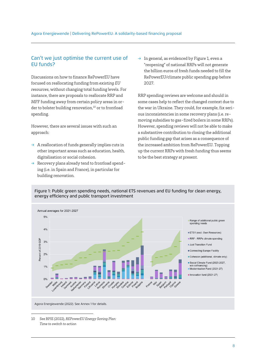## Can't we just optimise the current use of EU funds?

Discussions on how to finance RePowerEU have focused on reallocating funding from *existing EU resources*, without changing total funding levels. For instance, there are proposals to reallocate RRP and MFF funding away from certain policy areas in order to bolster building renovation, $10$  or to frontload spending.

However, there are several issues with such an approach:

- $\rightarrow$  A reallocation of funds generally implies cuts in other important areas such as education, health, digitalisation or social cohesion.
- $\rightarrow$  Recovery plans already tend to frontload spending (i.e. in Spain and France), in particular for building renovation.

 $\rightarrow$  In general, as evidenced by Figure 1, even a "reopening" of national RRPs will not generate the billion euros of fresh funds needed to fill the RePowerEU/climate public spending gap before 2027.

RRP spending reviews are welcome and should in some cases help to reflect the changed context due to the war in Ukraine. They could, for example, fix serious inconsistencies in some recovery plans (i.e. removing subsidies to gas-fired boilers in some RRPs). However, spending reviews will not be able to make a substantive contribution to closing the additional public funding gap that arises as a consequence of the increased ambition from RePowerEU. Topping up the current RRPs with fresh funding thus seems to be the best strategy at present.

#### Figure 1: Public green spending needs, national ETS revenues and EU funding for clean energy, energy efficiency and public transport investment



<sup>10</sup> See BPIE (2022), *REPowerEU Energy Saving Plan: Time to switch to action*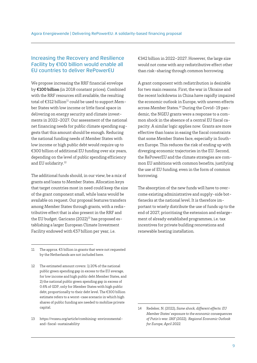## Increasing the Recovery and Resilience Facility by €100 billion would enable all EU countries to deliver RePowerEU

We propose increasing the RRF financial envelope by €100 billion (in 2018 constant prices). Combined with the RRF resources still available, the resulting total of  $\text{\large\ensuremath{\in}} 312$  billion<sup>11</sup> could be used to support Member States with low income or little fiscal space in delivering on energy security and climate investments in 2022–2027. Our assessment of the national net financing needs for public climate spending suggests that this amount should be enough. Reducing the national funding needs of Member States with low income or high public debt would require up to €300 billion of additional EU funding over six years, depending on the level of public spending efficiency and EU solidarity.12

The additional funds should, in our view, be a mix of grants and loans to Member States. Allocation keys that target countries most in need could keep the size of the grant component small, while loans would be available on request. Our proposal features transfers among Member States through grants, with a redistributive effect that is also present in the RRF and the EU budget. Garicano  $(2022)^{13}$  has proposed establishing a larger European Climate Investment Facility endowed with €57 billion per year, i.e.

€342 billion in 2022–2027. However, the large size would not come with any redistributive effect other than risk-sharing through common borrowing.

A grant component with redistribution is desirable for two main reasons. First, the war in Ukraine and the recent lockdowns in China have rapidly impaired the economic outlook in Europe, with uneven effects across Member States.14 During the Covid-19 pandemic, the NGEU grants were a response to a common shock in the absence of a central EU fiscal capacity. A similar logic applies now. Grants are more effective than loans in easing the fiscal constraints that some Member States face, especially in Southern Europe. This reduces the risk of ending up with diverging economic trajectories in the EU. Second, the RePowerEU and the climate strategies are common EU ambitions with common benefits, justifying the use of EU funding, even in the form of common borrowing.

The absorption of the new funds will have to overcome existing administrative and supply-side bottlenecks at the national level. It is therefore important to wisely distribute the use of funds up to the end of 2027, prioritising the extension and enlargement of already established programmes, i.e. tax incentives for private building renovations and renewable heating installation.

<sup>11</sup> The approx. €5 billion in grants that were not requested by the Netherlands are not included here.

<sup>12</sup> The estimated amount covers: 1) 20% of the national public green spending gap in excess to the EU average, for low income and high public debt Member States, and 2) the national public green spending gap in excess of 0.6% of GDP, only for Member States with high public debt, proportionally to their debt level. The €300 billion estimate refers to a worst-case scenario in which high shares of public funding are needed to mobilise private capital.

<sup>13</sup> https://voxeu.org/article/combining-environmentaland-fiscal-sustainability

<sup>14</sup> Redeker, N. (2022), *Same shock, different effects: EU Member States' exposure to the economic consequences of Putin's war. IMF (2022), Regional Economic Outlook for Europe, April 2022.*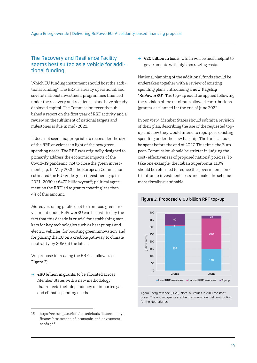## The Recovery and Resilience Facility seems best suited as a vehicle for additional funding

Which EU funding instrument should host the additional funding? The RRF is already operational, and several national investment programmes financed under the recovery and resilience plans have already deployed capital. The Commission recently published a report on the first year of RRF activity and a review on the fulfilment of national targets and milestones is due in mid-2022.

It does not seem inappropriate to reconsider the size of the RRF envelopes in light of the new green spending needs. The RRF was originally designed to primarily address the economic impacts of the Covid-19 pandemic, not to close the green investment gap. In May 2020, the European Commission estimated the EU-wide green investment gap in 2021–2030 at €470 billion/year<sup>15</sup>; political agreement on the RRF led to grants covering less than 4% of this amount.

Moreover, using public debt to frontload green investment under RePowerEU can be justified by the fact that this decade is crucial for establishing markets for key technologies such as heat pumps and electric vehicles, for boosting green innovation, and for placing the EU on a credible pathway to climate neutrality by 2050 at the latest.

We propose increasing the RRF as follows (see Figure 2):

 $\rightarrow \epsilon$ 80 billion in grants, to be allocated across Member States with a new methodology that reflects their dependency on imported gas and climate spending needs.

 $\rightarrow$   $\epsilon$ 20 billion in loans, which will be most helpful to governments with high borrowing costs.

National planning of the additional funds should be undertaken together with a review of existing spending plans, introducing a **new flagship** "RePowerEU". The top-up could be applied following the revision of the maximum allowed contributions (grants), as planned for the end of June 2022.

In our view, Member States should submit a revision of their plan, describing the use of the requested topup and how they would intend to repurpose existing spending under the new flagship. The funds should be spent before the end of 2027. This time, the European Commission should be stricter in judging the cost-effectiveness of proposed national policies. To take one example, the Italian Superbonus 110% should be reformed to reduce the government contribution to investment costs and make the scheme more fiscally sustainable.



Agora Energiewende (2022). Note: all values in 2018 constant prices. The unused grants are the maximum financial contribution for the Netherlands.

#### Figure 2: Proposed €100 billion RRF top-up

<sup>15</sup> https://ec.europa.eu/info/sites/default/files/economyfinance/assessment\_of\_economic\_and\_investment\_ needs.pdf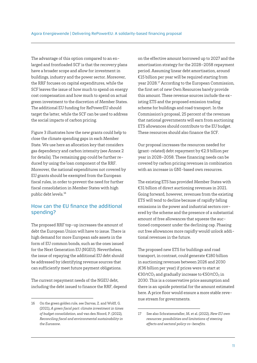The advantage of this option compared to an enlarged and frontloaded SCF is that the recovery plans have a broader scope and allow for investment in buildings, industry and the power sector. Moreover, the RRF focuses on capital expenditures, while the SCF leaves the issue of how much to spend on energy cost compensation and how much to spend on actual green investment to the discretion of Member States. The additional EU funding for RePowerEU should target the latter, while the SCF can be used to address the social impacts of carbon pricing.

Figure 3 illustrates how the new grants could help to close the climate spending gaps in each Member State. We use here an allocation key that considers gas dependency and carbon intensity (see Annex 2 for details). The remaining gap could be further reduced by using the loan component of the RRF. Moreover, the national expenditures not covered by EU grants should be exempted from the European fiscal rules, in order to prevent the need for further fiscal consolidation in Member States with high public debt levels.16

## How can the EU finance the additional spending?

The proposed RRF top-up increases the amount of debt the European Union will have to issue. There is high demand for more European safe assets in the form of EU common bonds, such as the ones issued for the Next Generation EU (NGEU). Nevertheless, the issue of repaying the additional EU debt should be addressed by identifying revenue sources that can sufficiently meet future payment obligations.

The current repayment needs of the NGEU debt, including the debt issued to finance the RRF, depend on the effective amount borrowed up to 2027 and the amortisation strategy for the 2028–2058 repayment period. Assuming linear debt amortisation, around €15 billion per year will be required starting from year 2028.17 According to the European Commission, the first set of new Own Resources barely provide this amount. These revenue sources include the existing ETS and the proposed emission trading scheme for buildings and road transport. In the Commission's proposal, 25 percent of the revenues that national governments will earn from auctioning ETS allowances should contribute to the EU budget. These resources should also finance the SCF.

Our proposal increases the resources needed for (grant-related) debt repayment by €2.9 billion per year in 2028–2058. These financing needs can be covered by carbon pricing revenues in combination with an increase in GNI-based own resources.

The existing ETS has provided Member States with €31 billion of direct auctioning revenues in 2021. Going forward, however, revenues from the existing ETS will tend to decline because of rapidly falling emissions in the power and industrial sectors covered by the scheme and the presence of a substantial amount of free allowances that squeeze the auctioned component under the declining cap. Phasing out free allowances more rapidly would unlock additional revenues in the future.

The proposed new ETS for buildings and road transport, in contrast, could generate €180 billion in auctioning revenues between 2026 and 2030 (€36 billion per year) if prices were to start at €30/tCO<sub>2</sub> and gradually increase to  $€50/tCO<sub>2</sub>$  in 2030. This is a conservative price assumption and there is an upside potential for the amount estimated here. A price floor would ensure a more stable revenue stream for governments.

<sup>16</sup> On the green golden rule, see Darvas, Z. and Wolff, G. (2021), *A green fiscal pact: climate investment in times of budget consolidation,* and van den Noord, P. (2022), *Reconciling fiscal and environmental sustainability in the Eurozone*.

<sup>17</sup> See also Schratzenstaller, M. et al. (2022), *New EU own resources: possibilities and limitations of steering effects and sectoral policy co-benefits.*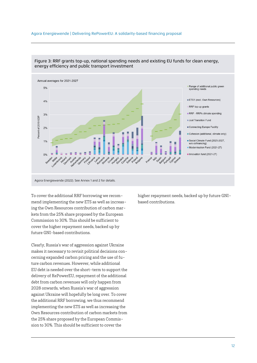#### Agora Energiewende | Delivering RePowerEU: A solidarity-based financing proposal



#### Figure 3: RRF grants top-up, national spending needs and existing EU funds for clean energy, energy efficiency and public transport investment

Agora Energiewende (2022). See Annex 1 and 2 for details.

To cover the additional RRF borrowing we recommend implementing the new ETS as well as increasing the Own Resources contribution of carbon markets from the 25% share proposed by the European Commission to 30%. This should be sufficient to cover the higher repayment needs, backed up by future GNI-based contributions.

Clearly, Russia's war of aggression against Ukraine makes it necessary to revisit political decisions concerning expanded carbon pricing and the use of future carbon revenues. However, while additional EU debt is needed over the short-term to support the delivery of RePowerEU, repayment of the additional debt from carbon revenues will only happen from 2028 onwards, when Russia's war of aggression against Ukraine will hopefully be long over. To cover the additional RRF borrowing, we thus recommend implementing the new ETS as well as increasing the Own Resources contribution of carbon markets from the 25% share proposed by the European Commission to 30%. This should be sufficient to cover the

higher repayment needs, backed up by future GNIbased contributions.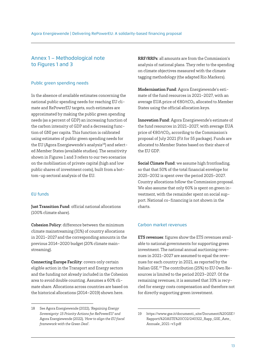## Annex 1 – Methodological note to Figures 1 and 3

#### Public green spending needs

In the absence of available estimates concerning the national public spending needs for reaching EU climate and RePowerEU targets, such estimates are approximated by making the public green spending needs (as a percent of GDP) an increasing function of the carbon intensity of GDP and a decreasing function of GNI per capita. This function is calibrated using estimates of public green spending needs for the EU (Agora Energiewende's analysis $^{18}$ ) and selected Member States (available studies). The sensitivity shown in Figures 1 and 3 refers to our two scenarios on the mobilisation of private capital (high and low public shares of investment costs), built from a bottom-up sectoral analysis of the EU.

#### EU funds

Just Transition Fund: official national allocations (100% climate share).

Cohesion Policy: difference between the minimum climate mainstreaming (31%) of country allocations in 2021–2027 and the corresponding amounts in the previous 2014–2020 budget (20% climate mainstreaming).

Connecting Europe Facility: covers only certain eligible action in the Transport and Energy sectors and the funding not already included in the Cohesion area to avoid double counting. Assumes a 60% climate share. Allocations across countries are based on the historical allocations (2014–2019) shown here.

RRF/RRPs: all amounts are from the Commission's analysis of national plans. They refer to the spending on climate objectives measured with the climate tagging methodology (the adapted Rio Markers).

Modernisation Fund: Agora Energiewende's estimate of the fund resources in 2021–2027, with an average EUA price of  $\epsilon$ 80/tCO<sub>2</sub>, allocated to Member States using the official allocation keys.

Innovation Fund: Agora Energiewende's estimate of the fund resources in 2021–2027, with average EUA price of €80/tCO<sub>2</sub>, according to the Commission's proposal of July 2021 (Fit for 55 package). Funds are allocated to Member States based on their share of the EU GDP.

Social Climate Fund: we assume high frontloading, so that that 50% of the total financial envelope for 2025–2032 is spent over the period 2025–2027. Country allocations follow the Commission proposal. We also assume that only 60% is spent on green investment, with the remainder spent on social support. National co-financing is not shown in the charts.

### Carbon market revenues

ETS revenues: figures show the ETS revenues available to national governments for supporting green investment. The national annual auctioning revenues in 2021–2027 are assumed to equal the revenues for each country in 2021, as reported by the Italian GSE.19 The contribution (25%) to EU Own Resources is limited to the period 2023–2027. Of the remaining revenues, it is assumed that 33% is recycled for energy costs compensation and therefore not for directly supporting green investment.

<sup>18</sup> See Agora Energiewende (2022), *'Regaining Energy Sovereignty: 15 Priority Actions for RePowerEU' and*  Agora Energiewende (2022)*, 'How to align the EU fiscal framework with the Green Deal'.*

<sup>19</sup> https://www.gse.it/documenti\_site/Documenti%20GSE'/ Rapporti%20ASTE%20CO2/240322\_Rapp\_GSE\_Aste\_ Annuale\_2021-v3.pdf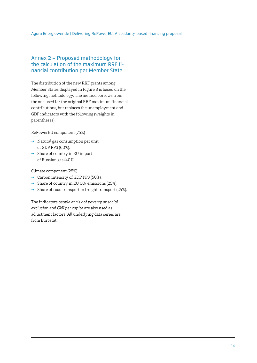## Annex 2 – Proposed methodology for the calculation of the maximum RRF financial contribution per Member State

The distribution of the new RRF grants among Member States displayed in Figure 3 is based on the following methodology. The method borrows from the one used for the original RRF maximum financial contributions, but replaces the unemployment and GDP indicators with the following (weights in parentheses):

RePowerEU component (75%)

- $\rightarrow$  Natural gas consumption per unit of GDP PPS (60%),
- $\rightarrow$  Share of country in EU import of Russian gas (40%),

Climate component (25%)

- $\rightarrow$  Carbon intensity of GDP PPS (50%),
- $\rightarrow$  Share of country in EU CO<sub>2</sub> emissions (25%),
- $\rightarrow$  Share of road transport in freight transport (25%).

The indicators *people at risk of poverty or social exclusion* and *GNI per capita* are also used as adjustment factors. All underlying data series are from Eurostat.